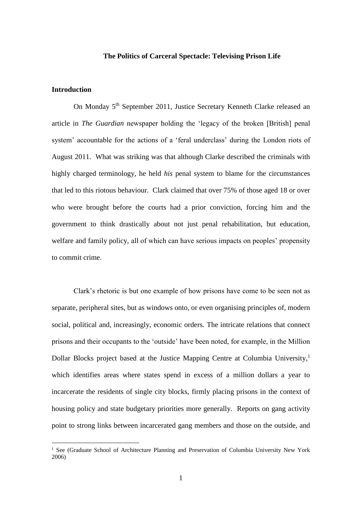### **The Politics of Carceral Spectacle: Televising Prison Life**

# **Introduction**

<u>.</u>

On Monday 5<sup>th</sup> September 2011, Justice Secretary Kenneth Clarke released an article in *The Guardian* newspaper holding the 'legacy of the broken [British] penal system' accountable for the actions of a 'feral underclass' during the London riots of August 2011. What was striking was that although Clarke described the criminals with highly charged terminology, he held *his* penal system to blame for the circumstances that led to this riotous behaviour. Clark claimed that over 75% of those aged 18 or over who were brought before the courts had a prior conviction, forcing him and the government to think drastically about not just penal rehabilitation, but education, welfare and family policy, all of which can have serious impacts on peoples' propensity to commit crime.

Clark's rhetoric is but one example of how prisons have come to be seen not as separate, peripheral sites, but as windows onto, or even organising principles of, modern social, political and, increasingly, economic orders. The intricate relations that connect prisons and their occupants to the 'outside' have been noted, for example, in the Million Dollar Blocks project based at the Justice Mapping Centre at Columbia University, 1 which identifies areas where states spend in excess of a million dollars a year to incarcerate the residents of single city blocks, firmly placing prisons in the context of housing policy and state budgetary priorities more generally. Reports on gang activity point to strong links between incarcerated gang members and those on the outside, and

<sup>&</sup>lt;sup>1</sup> See (Graduate School of Architecture Planning and Preservation of Columbia University New York 2006)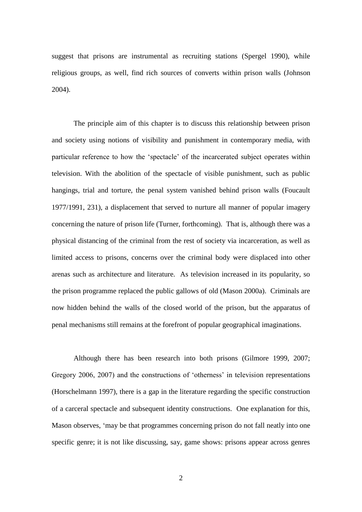suggest that prisons are instrumental as recruiting stations (Spergel 1990), while religious groups, as well, find rich sources of converts within prison walls (Johnson 2004).

The principle aim of this chapter is to discuss this relationship between prison and society using notions of visibility and punishment in contemporary media, with particular reference to how the 'spectacle' of the incarcerated subject operates within television. With the abolition of the spectacle of visible punishment, such as public hangings, trial and torture, the penal system vanished behind prison walls (Foucault 1977/1991, 231), a displacement that served to nurture all manner of popular imagery concerning the nature of prison life (Turner, forthcoming). That is, although there was a physical distancing of the criminal from the rest of society via incarceration, as well as limited access to prisons, concerns over the criminal body were displaced into other arenas such as architecture and literature. As television increased in its popularity, so the prison programme replaced the public gallows of old (Mason 2000a). Criminals are now hidden behind the walls of the closed world of the prison, but the apparatus of penal mechanisms still remains at the forefront of popular geographical imaginations.

Although there has been research into both prisons (Gilmore 1999, 2007; Gregory 2006, 2007) and the constructions of 'otherness' in television representations (Horschelmann 1997), there is a gap in the literature regarding the specific construction of a carceral spectacle and subsequent identity constructions. One explanation for this, Mason observes, 'may be that programmes concerning prison do not fall neatly into one specific genre; it is not like discussing, say, game shows: prisons appear across genres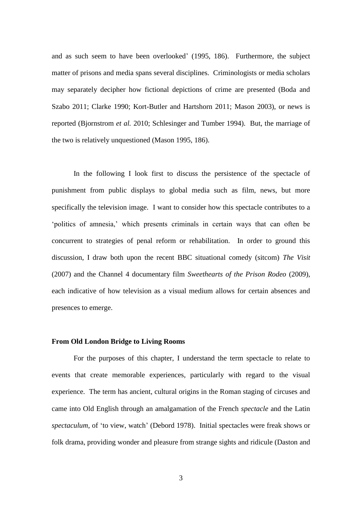and as such seem to have been overlooked' (1995, 186). Furthermore, the subject matter of prisons and media spans several disciplines. Criminologists or media scholars may separately decipher how fictional depictions of crime are presented (Boda and Szabo 2011; Clarke 1990; Kort-Butler and Hartshorn 2011; Mason 2003), or news is reported (Bjornstrom *et al.* 2010; Schlesinger and Tumber 1994). But, the marriage of the two is relatively unquestioned (Mason 1995, 186).

In the following I look first to discuss the persistence of the spectacle of punishment from public displays to global media such as film, news, but more specifically the television image. I want to consider how this spectacle contributes to a 'politics of amnesia,' which presents criminals in certain ways that can often be concurrent to strategies of penal reform or rehabilitation. In order to ground this discussion, I draw both upon the recent BBC situational comedy (sitcom) *The Visit*  (2007) and the Channel 4 documentary film *Sweethearts of the Prison Rodeo* (2009), each indicative of how television as a visual medium allows for certain absences and presences to emerge.

#### **From Old London Bridge to Living Rooms**

For the purposes of this chapter, I understand the term spectacle to relate to events that create memorable experiences, particularly with regard to the visual experience. The term has ancient, cultural origins in the Roman staging of circuses and came into Old English through an amalgamation of the French *spectacle* and the Latin *spectaculum*, of 'to view, watch' (Debord 1978). Initial spectacles were freak shows or folk drama, providing wonder and pleasure from strange sights and ridicule (Daston and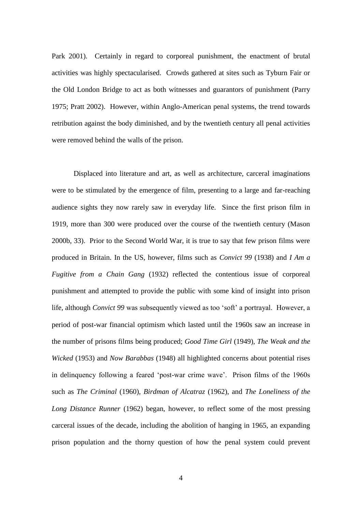Park 2001). Certainly in regard to corporeal punishment, the enactment of brutal activities was highly spectacularised. Crowds gathered at sites such as Tyburn Fair or the Old London Bridge to act as both witnesses and guarantors of punishment (Parry 1975; Pratt 2002). However, within Anglo-American penal systems, the trend towards retribution against the body diminished, and by the twentieth century all penal activities were removed behind the walls of the prison.

Displaced into literature and art, as well as architecture, carceral imaginations were to be stimulated by the emergence of film, presenting to a large and far-reaching audience sights they now rarely saw in everyday life. Since the first prison film in 1919, more than 300 were produced over the course of the twentieth century (Mason 2000b, 33). Prior to the Second World War, it is true to say that few prison films were produced in Britain. In the US, however, films such as *Convict 99* (1938) and *I Am a Fugitive from a Chain Gang* (1932) reflected the contentious issue of corporeal punishment and attempted to provide the public with some kind of insight into prison life, although *Convict 99* was subsequently viewed as too 'soft' a portrayal. However, a period of post-war financial optimism which lasted until the 1960s saw an increase in the number of prisons films being produced; *Good Time Girl* (1949), *The Weak and the Wicked* (1953) and *Now Barabbas* (1948) all highlighted concerns about potential rises in delinquency following a feared 'post-war crime wave'. Prison films of the 1960s such as *The Criminal* (1960), *Birdman of Alcatraz* (1962), and *The Loneliness of the Long Distance Runner* (1962) began, however, to reflect some of the most pressing carceral issues of the decade, including the abolition of hanging in 1965, an expanding prison population and the thorny question of how the penal system could prevent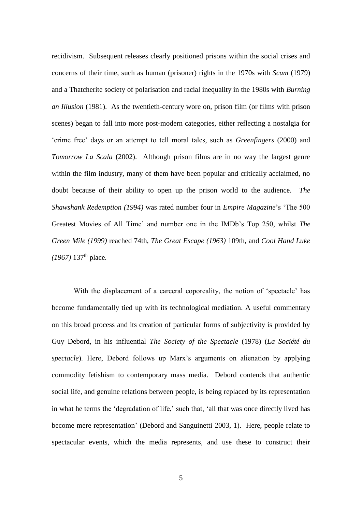recidivism. Subsequent releases clearly positioned prisons within the social crises and concerns of their time, such as human (prisoner) rights in the 1970s with *Scum* (1979) and a Thatcherite society of polarisation and racial inequality in the 1980s with *Burning an Illusion* (1981). As the twentieth-century wore on, prison film (or films with prison scenes) began to fall into more post-modern categories, either reflecting a nostalgia for 'crime free' days or an attempt to tell moral tales, such as *Greenfingers* (2000) and *Tomorrow La Scala* (2002). Although prison films are in no way the largest genre within the film industry, many of them have been popular and critically acclaimed, no doubt because of their ability to open up the prison world to the audience. *The Shawshank Redemption (1994)* was rated number four in *Empire Magazine*'s 'The 500 Greatest Movies of All Time' and number one in the IMDb's Top 250, whilst *The Green Mile (1999)* reached 74th, *The Great Escape (1963)* 109th, and *Cool Hand Luke (1967)* 137th place.

With the displacement of a carceral coporeality, the notion of 'spectacle' has become fundamentally tied up with its technological mediation. A useful commentary on this broad process and its creation of particular forms of subjectivity is provided by Guy Debord, in his influential *The Society of the Spectacle* (1978) (*La Société du spectacle*). Here, Debord follows up Marx's arguments on alienation by applying commodity fetishism to contemporary mass media. Debord contends that authentic social life, and genuine relations between people, is being replaced by its representation in what he terms the 'degradation of life,' such that, 'all that was once directly lived has become mere representation' (Debord and Sanguinetti 2003, 1). Here, people relate to spectacular events, which the media represents, and use these to construct their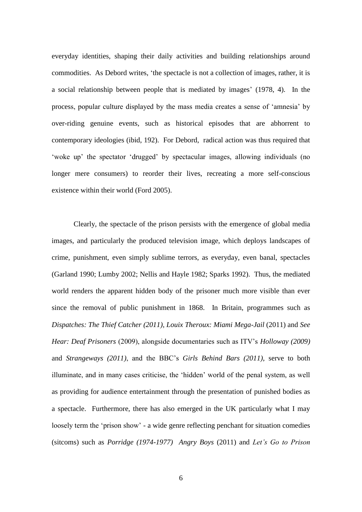everyday identities, shaping their daily activities and building relationships around commodities. As Debord writes, 'the spectacle is not a collection of images, rather, it is a social relationship between people that is mediated by images' (1978, 4). In the process, popular culture displayed by the mass media creates a sense of 'amnesia' by over-riding genuine events, such as historical episodes that are abhorrent to contemporary ideologies (ibid, 192). For Debord, radical action was thus required that 'woke up' the spectator 'drugged' by spectacular images, allowing individuals (no longer mere consumers) to reorder their lives, recreating a more self-conscious existence within their world (Ford 2005).

Clearly, the spectacle of the prison persists with the emergence of global media images, and particularly the produced television image, which deploys landscapes of crime, punishment, even simply sublime terrors, as everyday, even banal, spectacles (Garland 1990; Lumby 2002; Nellis and Hayle 1982; Sparks 1992). Thus, the mediated world renders the apparent hidden body of the prisoner much more visible than ever since the removal of public punishment in 1868. In Britain, programmes such as *Dispatches: The Thief Catcher (2011), Louix Theroux: Miami Mega-Jail* (2011) and *See Hear: Deaf Prisoners* (2009), alongside documentaries such as ITV's *Holloway (2009)*  and *Strangeways (2011)*, and the BBC's *Girls Behind Bars (2011)*, serve to both illuminate, and in many cases criticise, the 'hidden' world of the penal system, as well as providing for audience entertainment through the presentation of punished bodies as a spectacle. Furthermore, there has also emerged in the UK particularly what I may loosely term the 'prison show' - a wide genre reflecting penchant for situation comedies (sitcoms) such as *Porridge (1974-1977) Angry Boys* (2011) and *Let's Go to Prison*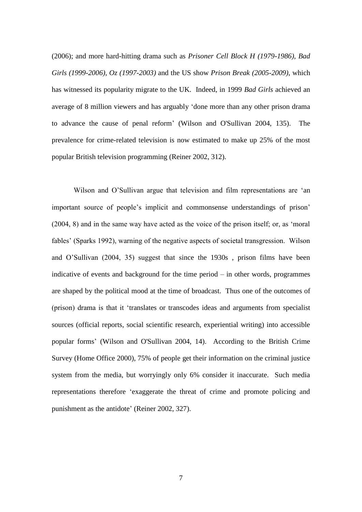(2006); and more hard-hitting drama such as *Prisoner Cell Block H (1979-1986), Bad Girls (1999-2006)*, *Oz (1997-2003)* and the US show *Prison Break (2005-2009)*, which has witnessed its popularity migrate to the UK. Indeed, in 1999 *Bad Girls* achieved an average of 8 million viewers and has arguably 'done more than any other prison drama to advance the cause of penal reform' (Wilson and O'Sullivan 2004, 135). The prevalence for crime-related television is now estimated to make up 25% of the most popular British television programming (Reiner 2002, 312).

Wilson and O'Sullivan argue that television and film representations are 'an important source of people's implicit and commonsense understandings of prison' (2004, 8) and in the same way have acted as the voice of the prison itself; or, as 'moral fables' (Sparks 1992), warning of the negative aspects of societal transgression. Wilson and O'Sullivan (2004, 35) suggest that since the 1930s , prison films have been indicative of events and background for the time period – in other words, programmes are shaped by the political mood at the time of broadcast. Thus one of the outcomes of (prison) drama is that it 'translates or transcodes ideas and arguments from specialist sources (official reports, social scientific research, experiential writing) into accessible popular forms' (Wilson and O'Sullivan 2004, 14). According to the British Crime Survey (Home Office 2000), 75% of people get their information on the criminal justice system from the media, but worryingly only 6% consider it inaccurate. Such media representations therefore 'exaggerate the threat of crime and promote policing and punishment as the antidote' (Reiner 2002, 327).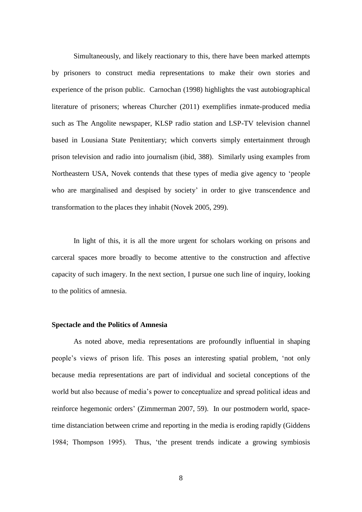Simultaneously, and likely reactionary to this, there have been marked attempts by prisoners to construct media representations to make their own stories and experience of the prison public. Carnochan (1998) highlights the vast autobiographical literature of prisoners; whereas Churcher (2011) exemplifies inmate-produced media such as The Angolite newspaper, KLSP radio station and LSP-TV television channel based in Lousiana State Penitentiary; which converts simply entertainment through prison television and radio into journalism (ibid, 388). Similarly using examples from Northeastern USA, Novek contends that these types of media give agency to 'people who are marginalised and despised by society' in order to give transcendence and transformation to the places they inhabit (Novek 2005, 299).

In light of this, it is all the more urgent for scholars working on prisons and carceral spaces more broadly to become attentive to the construction and affective capacity of such imagery. In the next section, I pursue one such line of inquiry, looking to the politics of amnesia.

#### **Spectacle and the Politics of Amnesia**

As noted above, media representations are profoundly influential in shaping people's views of prison life. This poses an interesting spatial problem, 'not only because media representations are part of individual and societal conceptions of the world but also because of media's power to conceptualize and spread political ideas and reinforce hegemonic orders' (Zimmerman 2007, 59). In our postmodern world, spacetime distanciation between crime and reporting in the media is eroding rapidly (Giddens 1984; Thompson 1995). Thus, 'the present trends indicate a growing symbiosis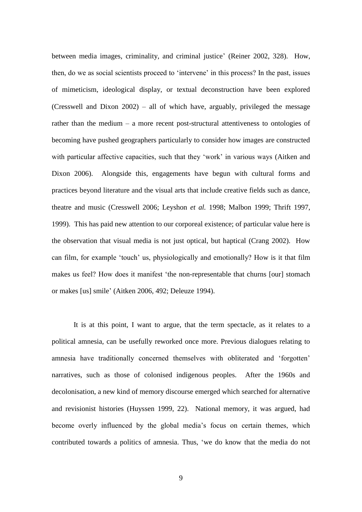between media images, criminality, and criminal justice' (Reiner 2002, 328). How, then, do we as social scientists proceed to 'intervene' in this process? In the past, issues of mimeticism, ideological display, or textual deconstruction have been explored (Cresswell and Dixon 2002) – all of which have, arguably, privileged the message rather than the medium – a more recent post-structural attentiveness to ontologies of becoming have pushed geographers particularly to consider how images are constructed with particular affective capacities, such that they 'work' in various ways (Aitken and Dixon 2006). Alongside this, engagements have begun with cultural forms and practices beyond literature and the visual arts that include creative fields such as dance, theatre and music (Cresswell 2006; Leyshon *et al.* 1998; Malbon 1999; Thrift 1997, 1999). This has paid new attention to our corporeal existence; of particular value here is the observation that visual media is not just optical, but haptical (Crang 2002). How can film, for example 'touch' us, physiologically and emotionally? How is it that film makes us feel? How does it manifest 'the non-representable that churns [our] stomach or makes [us] smile' (Aitken 2006, 492; Deleuze 1994).

It is at this point, I want to argue, that the term spectacle, as it relates to a political amnesia, can be usefully reworked once more. Previous dialogues relating to amnesia have traditionally concerned themselves with obliterated and 'forgotten' narratives, such as those of colonised indigenous peoples. After the 1960s and decolonisation, a new kind of memory discourse emerged which searched for alternative and revisionist histories (Huyssen 1999, 22). National memory, it was argued, had become overly influenced by the global media's focus on certain themes, which contributed towards a politics of amnesia. Thus, 'we do know that the media do not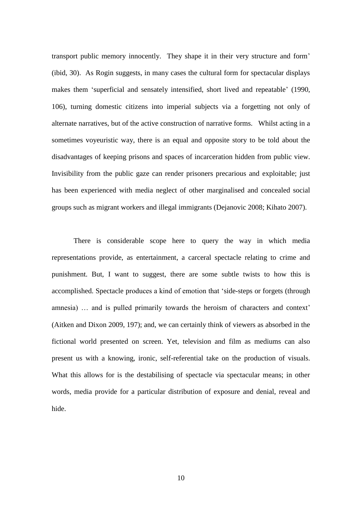transport public memory innocently. They shape it in their very structure and form' (ibid, 30). As Rogin suggests, in many cases the cultural form for spectacular displays makes them 'superficial and sensately intensified, short lived and repeatable' (1990, 106), turning domestic citizens into imperial subjects via a forgetting not only of alternate narratives, but of the active construction of narrative forms. Whilst acting in a sometimes voyeuristic way, there is an equal and opposite story to be told about the disadvantages of keeping prisons and spaces of incarceration hidden from public view. Invisibility from the public gaze can render prisoners precarious and exploitable; just has been experienced with media neglect of other marginalised and concealed social groups such as migrant workers and illegal immigrants (Dejanovic 2008; Kihato 2007).

There is considerable scope here to query the way in which media representations provide, as entertainment, a carceral spectacle relating to crime and punishment. But, I want to suggest, there are some subtle twists to how this is accomplished. Spectacle produces a kind of emotion that 'side-steps or forgets (through amnesia) … and is pulled primarily towards the heroism of characters and context' (Aitken and Dixon 2009, 197); and, we can certainly think of viewers as absorbed in the fictional world presented on screen. Yet, television and film as mediums can also present us with a knowing, ironic, self-referential take on the production of visuals. What this allows for is the destabilising of spectacle via spectacular means; in other words, media provide for a particular distribution of exposure and denial, reveal and hide.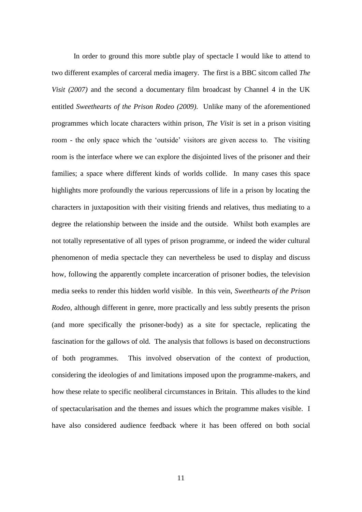In order to ground this more subtle play of spectacle I would like to attend to two different examples of carceral media imagery. The first is a BBC sitcom called *The Visit (2007)* and the second a documentary film broadcast by Channel 4 in the UK entitled *Sweethearts of the Prison Rodeo (2009)*. Unlike many of the aforementioned programmes which locate characters within prison, *The Visit* is set in a prison visiting room - the only space which the 'outside' visitors are given access to. The visiting room is the interface where we can explore the disjointed lives of the prisoner and their families; a space where different kinds of worlds collide. In many cases this space highlights more profoundly the various repercussions of life in a prison by locating the characters in juxtaposition with their visiting friends and relatives, thus mediating to a degree the relationship between the inside and the outside. Whilst both examples are not totally representative of all types of prison programme, or indeed the wider cultural phenomenon of media spectacle they can nevertheless be used to display and discuss how, following the apparently complete incarceration of prisoner bodies, the television media seeks to render this hidden world visible. In this vein, *Sweethearts of the Prison Rodeo,* although different in genre, more practically and less subtly presents the prison (and more specifically the prisoner-body) as a site for spectacle, replicating the fascination for the gallows of old. The analysis that follows is based on deconstructions of both programmes. This involved observation of the context of production, considering the ideologies of and limitations imposed upon the programme-makers, and how these relate to specific neoliberal circumstances in Britain. This alludes to the kind of spectacularisation and the themes and issues which the programme makes visible. I have also considered audience feedback where it has been offered on both social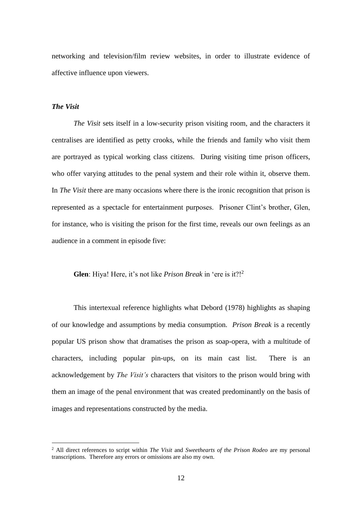networking and television/film review websites, in order to illustrate evidence of affective influence upon viewers.

# *The Visit*

<u>.</u>

*The Visit* sets itself in a low-security prison visiting room, and the characters it centralises are identified as petty crooks, while the friends and family who visit them are portrayed as typical working class citizens. During visiting time prison officers, who offer varying attitudes to the penal system and their role within it, observe them. In *The Visit* there are many occasions where there is the ironic recognition that prison is represented as a spectacle for entertainment purposes. Prisoner Clint's brother, Glen, for instance, who is visiting the prison for the first time, reveals our own feelings as an audience in a comment in episode five:

# **Glen**: Hiya! Here, it's not like *Prison Break* in 'ere is it?!<sup>2</sup>

This intertexual reference highlights what Debord (1978) highlights as shaping of our knowledge and assumptions by media consumption. *Prison Break* is a recently popular US prison show that dramatises the prison as soap-opera, with a multitude of characters, including popular pin-ups, on its main cast list. There is an acknowledgement by *The Visit's* characters that visitors to the prison would bring with them an image of the penal environment that was created predominantly on the basis of images and representations constructed by the media.

<sup>2</sup> All direct references to script within *The Visit* and *Sweethearts of the Prison Rodeo* are my personal transcriptions. Therefore any errors or omissions are also my own.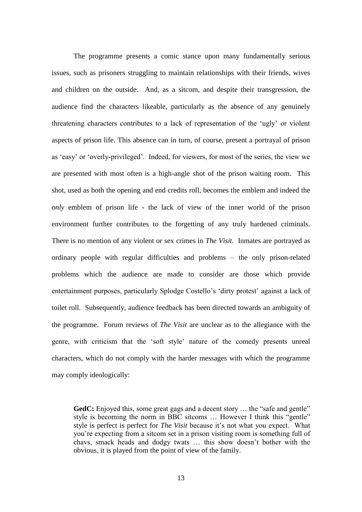The programme presents a comic stance upon many fundamentally serious issues, such as prisoners struggling to maintain relationships with their friends, wives and children on the outside. And, as a sitcom, and despite their transgression, the audience find the characters likeable, particularly as the absence of any genuinely threatening characters contributes to a lack of representation of the 'ugly' or violent aspects of prison life. This absence can in turn, of course, present a portrayal of prison as 'easy' or 'overly-privileged'. Indeed, for viewers, for most of the series, the view we are presented with most often is a high-angle shot of the prison waiting room. This shot, used as both the opening and end credits roll, becomes the emblem and indeed the *only* emblem of prison life - the lack of view of the inner world of the prison environment further contributes to the forgetting of any truly hardened criminals. There is no mention of any violent or sex crimes in *The Visit.* Inmates are portrayed as ordinary people with regular difficulties and problems – the only prison-related problems which the audience are made to consider are those which provide entertainment purposes, particularly Splodge Costello's 'dirty protest' against a lack of toilet roll. Subsequently, audience feedback has been directed towards an ambiguity of the programme. Forum reviews of *The Visit* are unclear as to the allegiance with the genre, with criticism that the 'soft style' nature of the comedy presents unreal characters, which do not comply with the harder messages with which the programme may comply ideologically:

GedC: Enjoyed this, some great gags and a decent story ... the "safe and gentle" style is becoming the norm in BBC sitcoms … However I think this "gentle" style is perfect is perfect for *The Visit* because it's not what you expect. What you're expecting from a sitcom set in a prison visiting room is something full of chavs, smack heads and dodgy twats … this show doesn't bother with the obvious, it is played from the point of view of the family.

13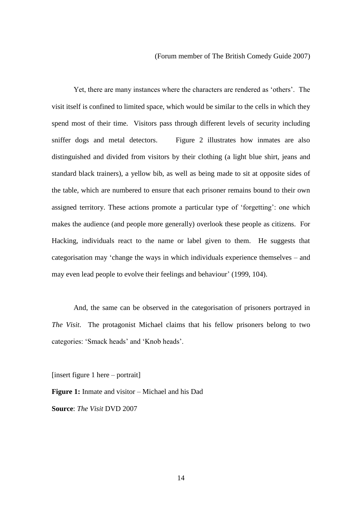Yet, there are many instances where the characters are rendered as 'others'. The visit itself is confined to limited space, which would be similar to the cells in which they spend most of their time. Visitors pass through different levels of security including sniffer dogs and metal detectors. Figure 2 illustrates how inmates are also distinguished and divided from visitors by their clothing (a light blue shirt, jeans and standard black trainers), a yellow bib, as well as being made to sit at opposite sides of the table, which are numbered to ensure that each prisoner remains bound to their own assigned territory. These actions promote a particular type of 'forgetting': one which makes the audience (and people more generally) overlook these people as citizens. For Hacking, individuals react to the name or label given to them. He suggests that categorisation may 'change the ways in which individuals experience themselves – and may even lead people to evolve their feelings and behaviour' (1999, 104).

And, the same can be observed in the categorisation of prisoners portrayed in *The Visit*. The protagonist Michael claims that his fellow prisoners belong to two categories: 'Smack heads' and 'Knob heads'.

[insert figure 1 here – portrait]

**Figure 1:** Inmate and visitor – Michael and his Dad **Source**: *The Visit* DVD 2007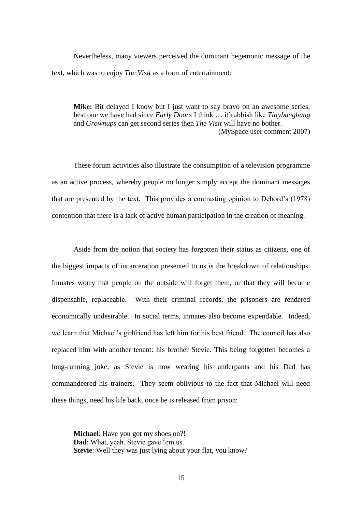Nevertheless, many viewers perceived the dominant hegemonic message of the text, which was to enjoy *The Visit* as a form of entertainment:

**Mike:** Bit delayed I know but I just want to say bravo on an awesome series, best one we have had since *Early Doors* I think … if rubbish like *Tittybangbang* and *Grownups* can get second series then *The Visit* will have no bother. (MySpace user comment 2007)

These forum activities also illustrate the consumption of a television programme as an active process, whereby people no longer simply accept the dominant messages that are presented by the text. This provides a contrasting opinion to Debord's (1978) contention that there is a lack of active human participation in the creation of meaning.

Aside from the notion that society has forgotten their status as citizens, one of the biggest impacts of incarceration presented to us is the breakdown of relationships. Inmates worry that people on the outside will forget them, or that they will become dispensable, replaceable. With their criminal records, the prisoners are rendered economically undesirable. In social terms, inmates also become expendable. Indeed, we learn that Michael's girlfriend has left him for his best friend. The council has also replaced him with another tenant: his brother Stevie. This being forgotten becomes a long-running joke, as Stevie is now wearing his underpants and his Dad has commandeered his trainers. They seem oblivious to the fact that Michael will need these things, need his life back, once he is released from prison:

**Michael**: Have you got my shoes on?! **Dad**: What, yeah. Stevie gave 'em us. **Stevie:** Well they was just lying about your flat, you know?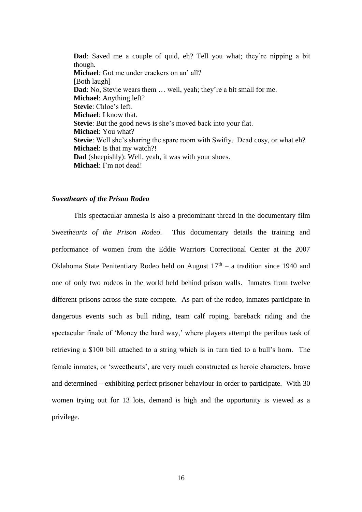**Dad**: Saved me a couple of quid, eh? Tell you what; they're nipping a bit though. **Michael**: Got me under crackers on an' all? [Both laugh] **Dad**: No, Stevie wears them … well, yeah; they're a bit small for me. **Michael**: Anything left? **Stevie**: Chloe's left. **Michael**: I know that. **Stevie**: But the good news is she's moved back into your flat. **Michael**: You what? **Stevie**: Well she's sharing the spare room with Swifty. Dead cosy, or what eh? **Michael**: Is that my watch?! **Dad** (sheepishly): Well, yeah, it was with your shoes. **Michael**: I'm not dead!

## *Sweethearts of the Prison Rodeo*

This spectacular amnesia is also a predominant thread in the documentary film *Sweethearts of the Prison Rodeo*. This documentary details the training and performance of women from the Eddie Warriors Correctional Center at the 2007 Oklahoma State Penitentiary Rodeo held on August  $17<sup>th</sup>$  – a tradition since 1940 and one of only two rodeos in the world held behind prison walls. Inmates from twelve different prisons across the state compete. As part of the rodeo, inmates participate in dangerous events such as bull riding, team calf roping, bareback riding and the spectacular finale of 'Money the hard way,' where players attempt the perilous task of retrieving a \$100 bill attached to a string which is in turn tied to a bull's horn. The female inmates, or 'sweethearts', are very much constructed as heroic characters, brave and determined – exhibiting perfect prisoner behaviour in order to participate. With 30 women trying out for 13 lots, demand is high and the opportunity is viewed as a privilege.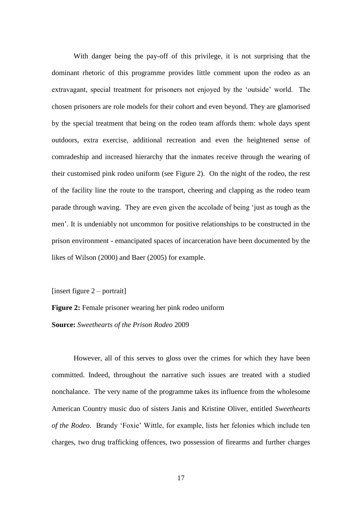With danger being the pay-off of this privilege, it is not surprising that the dominant rhetoric of this programme provides little comment upon the rodeo as an extravagant, special treatment for prisoners not enjoyed by the 'outside' world. The chosen prisoners are role models for their cohort and even beyond. They are glamorised by the special treatment that being on the rodeo team affords them: whole days spent outdoors, extra exercise, additional recreation and even the heightened sense of comradeship and increased hierarchy that the inmates receive through the wearing of their customised pink rodeo uniform (see Figure 2). On the night of the rodeo, the rest of the facility line the route to the transport, cheering and clapping as the rodeo team parade through waving. They are even given the accolade of being 'just as tough as the men'. It is undeniably not uncommon for positive relationships to be constructed in the prison environment - emancipated spaces of incarceration have been documented by the likes of Wilson (2000) and Baer (2005) for example.

[insert figure 2 – portrait]

**Figure 2:** Female prisoner wearing her pink rodeo uniform

**Source:** *Sweethearts of the Prison Rodeo* 2009

However, all of this serves to gloss over the crimes for which they have been committed. Indeed, throughout the narrative such issues are treated with a studied nonchalance. The very name of the programme takes its influence from the wholesome American Country music duo of sisters Janis and Kristine Oliver, entitled *Sweethearts of the Rodeo*. Brandy 'Foxie' Wittle, for example, lists her felonies which include ten charges, two drug trafficking offences, two possession of firearms and further charges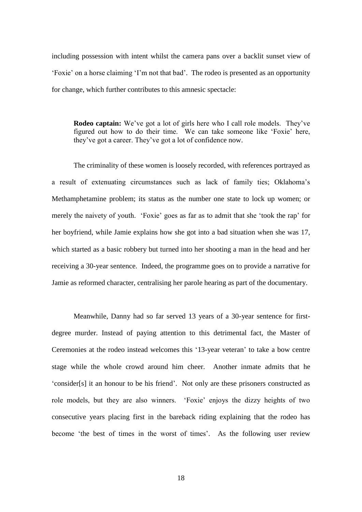including possession with intent whilst the camera pans over a backlit sunset view of 'Foxie' on a horse claiming 'I'm not that bad'. The rodeo is presented as an opportunity for change, which further contributes to this amnesic spectacle:

**Rodeo captain:** We've got a lot of girls here who I call role models. They've figured out how to do their time. We can take someone like 'Foxie' here, they've got a career. They've got a lot of confidence now.

The criminality of these women is loosely recorded, with references portrayed as a result of extenuating circumstances such as lack of family ties; Oklahoma's Methamphetamine problem; its status as the number one state to lock up women; or merely the naivety of youth. 'Foxie' goes as far as to admit that she 'took the rap' for her boyfriend, while Jamie explains how she got into a bad situation when she was 17, which started as a basic robbery but turned into her shooting a man in the head and her receiving a 30-year sentence. Indeed, the programme goes on to provide a narrative for Jamie as reformed character, centralising her parole hearing as part of the documentary.

Meanwhile, Danny had so far served 13 years of a 30-year sentence for firstdegree murder. Instead of paying attention to this detrimental fact, the Master of Ceremonies at the rodeo instead welcomes this '13-year veteran' to take a bow centre stage while the whole crowd around him cheer. Another inmate admits that he 'consider[s] it an honour to be his friend'. Not only are these prisoners constructed as role models, but they are also winners. 'Foxie' enjoys the dizzy heights of two consecutive years placing first in the bareback riding explaining that the rodeo has become 'the best of times in the worst of times'. As the following user review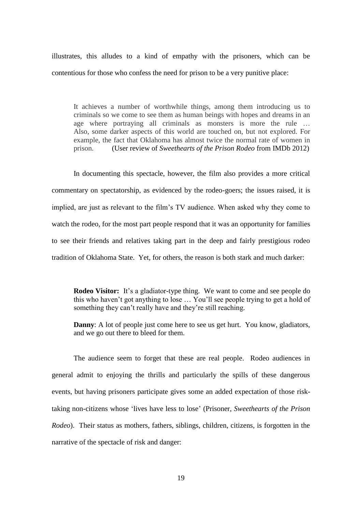illustrates, this alludes to a kind of empathy with the prisoners, which can be contentious for those who confess the need for prison to be a very punitive place:

It achieves a number of worthwhile things, among them introducing us to criminals so we come to see them as human beings with hopes and dreams in an age where portraying all criminals as monsters is more the rule … Also, some darker aspects of this world are touched on, but not explored. For example, the fact that Oklahoma has almost twice the normal rate of women in prison. (User review of *Sweethearts of the Prison Rodeo* from IMDb 2012)

In documenting this spectacle, however, the film also provides a more critical commentary on spectatorship, as evidenced by the rodeo-goers; the issues raised, it is implied, are just as relevant to the film's TV audience. When asked why they come to watch the rodeo, for the most part people respond that it was an opportunity for families to see their friends and relatives taking part in the deep and fairly prestigious rodeo tradition of Oklahoma State. Yet, for others, the reason is both stark and much darker:

**Rodeo Visitor:** It's a gladiator-type thing. We want to come and see people do this who haven't got anything to lose … You'll see people trying to get a hold of something they can't really have and they're still reaching.

**Danny:** A lot of people just come here to see us get hurt. You know, gladiators, and we go out there to bleed for them.

The audience seem to forget that these are real people. Rodeo audiences in general admit to enjoying the thrills and particularly the spills of these dangerous events, but having prisoners participate gives some an added expectation of those risktaking non-citizens whose 'lives have less to lose' (Prisoner, *Sweethearts of the Prison Rodeo*). Their status as mothers, fathers, siblings, children, citizens, is forgotten in the narrative of the spectacle of risk and danger: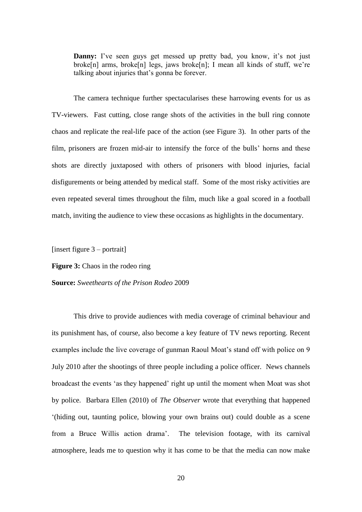**Danny:** I've seen guys get messed up pretty bad, you know, it's not just broke[n] arms, broke[n] legs, jaws broke[n]; I mean all kinds of stuff, we're talking about injuries that's gonna be forever.

The camera technique further spectacularises these harrowing events for us as TV-viewers. Fast cutting, close range shots of the activities in the bull ring connote chaos and replicate the real-life pace of the action (see Figure 3). In other parts of the film, prisoners are frozen mid-air to intensify the force of the bulls' horns and these shots are directly juxtaposed with others of prisoners with blood injuries, facial disfigurements or being attended by medical staff. Some of the most risky activities are even repeated several times throughout the film, much like a goal scored in a football match, inviting the audience to view these occasions as highlights in the documentary.

[insert figure  $3$  – portrait]

**Figure 3:** Chaos in the rodeo ring

**Source:** *Sweethearts of the Prison Rodeo* 2009

This drive to provide audiences with media coverage of criminal behaviour and its punishment has, of course, also become a key feature of TV news reporting. Recent examples include the live coverage of gunman Raoul Moat's stand off with police on 9 July 2010 after the shootings of three people including a police officer. News channels broadcast the events 'as they happened' right up until the moment when Moat was shot by police. Barbara Ellen (2010) of *The Observer* wrote that everything that happened '(hiding out, taunting police, blowing your own brains out) could double as a scene from a Bruce Willis action drama'. The television footage, with its carnival atmosphere, leads me to question why it has come to be that the media can now make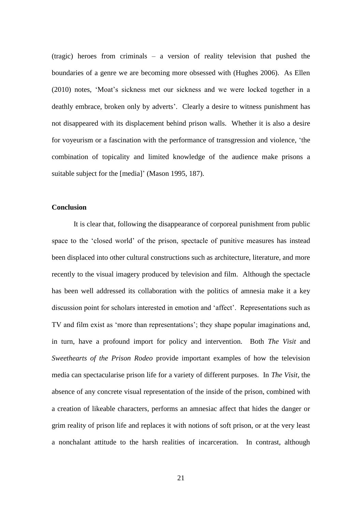(tragic) heroes from criminals – a version of reality television that pushed the boundaries of a genre we are becoming more obsessed with (Hughes 2006). As Ellen (2010) notes, 'Moat's sickness met our sickness and we were locked together in a deathly embrace, broken only by adverts'. Clearly a desire to witness punishment has not disappeared with its displacement behind prison walls. Whether it is also a desire for voyeurism or a fascination with the performance of transgression and violence, 'the combination of topicality and limited knowledge of the audience make prisons a suitable subject for the [media]' (Mason 1995, 187).

# **Conclusion**

It is clear that, following the disappearance of corporeal punishment from public space to the 'closed world' of the prison, spectacle of punitive measures has instead been displaced into other cultural constructions such as architecture, literature, and more recently to the visual imagery produced by television and film. Although the spectacle has been well addressed its collaboration with the politics of amnesia make it a key discussion point for scholars interested in emotion and 'affect'. Representations such as TV and film exist as 'more than representations'; they shape popular imaginations and, in turn, have a profound import for policy and intervention. Both *The Visit* and *Sweethearts of the Prison Rodeo* provide important examples of how the television media can spectacularise prison life for a variety of different purposes. In *The Visit*, the absence of any concrete visual representation of the inside of the prison, combined with a creation of likeable characters, performs an amnesiac affect that hides the danger or grim reality of prison life and replaces it with notions of soft prison, or at the very least a nonchalant attitude to the harsh realities of incarceration. In contrast, although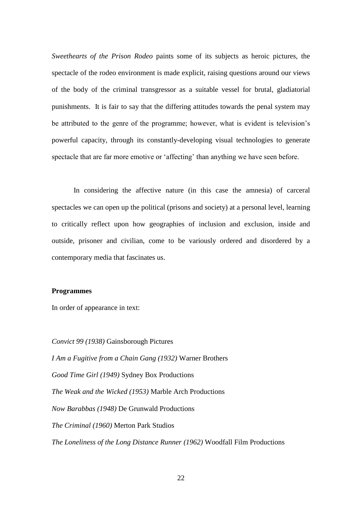*Sweethearts of the Prison Rodeo* paints some of its subjects as heroic pictures, the spectacle of the rodeo environment is made explicit, raising questions around our views of the body of the criminal transgressor as a suitable vessel for brutal, gladiatorial punishments. It is fair to say that the differing attitudes towards the penal system may be attributed to the genre of the programme; however, what is evident is television's powerful capacity, through its constantly-developing visual technologies to generate spectacle that are far more emotive or 'affecting' than anything we have seen before.

In considering the affective nature (in this case the amnesia) of carceral spectacles we can open up the political (prisons and society) at a personal level, learning to critically reflect upon how geographies of inclusion and exclusion, inside and outside, prisoner and civilian, come to be variously ordered and disordered by a contemporary media that fascinates us.

# **Programmes**

In order of appearance in text:

*Convict 99 (1938)* Gainsborough Pictures *I Am a Fugitive from a Chain Gang (1932)* Warner Brothers *Good Time Girl (1949)* Sydney Box Productions *The Weak and the Wicked (1953)* Marble Arch Productions *Now Barabbas (1948)* De Grunwald Productions *The Criminal (1960)* Merton Park Studios *The Loneliness of the Long Distance Runner (1962)* Woodfall Film Productions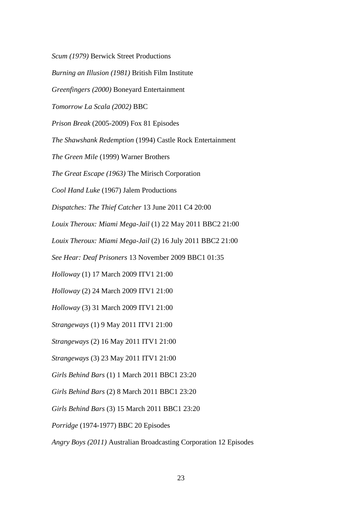*Scum (1979)* Berwick Street Productions

*Burning an Illusion (1981)* British Film Institute

*Greenfingers (2000)* Boneyard Entertainment

*Tomorrow La Scala (2002)* BBC

*Prison Break* (2005-2009) Fox 81 Episodes

*The Shawshank Redemption* (1994) Castle Rock Entertainment

*The Green Mile* (1999) Warner Brothers

*The Great Escape (1963)* The Mirisch Corporation

*Cool Hand Luke* (1967) Jalem Productions

*Dispatches: The Thief Catcher* 13 June 2011 C4 20:00

*Louix Theroux: Miami Mega-Jail* (1) 22 May 2011 BBC2 21:00

*Louix Theroux: Miami Mega-Jail* (2) 16 July 2011 BBC2 21:00

*See Hear: Deaf Prisoners* 13 November 2009 BBC1 01:35

*Holloway* (1) 17 March 2009 ITV1 21:00

*Holloway* (2) 24 March 2009 ITV1 21:00

*Holloway* (3) 31 March 2009 ITV1 21:00

*Strangeways* (1) 9 May 2011 ITV1 21:00

*Strangeways* (2) 16 May 2011 ITV1 21:00

*Strangeways* (3) 23 May 2011 ITV1 21:00

*Girls Behind Bars* (1) 1 March 2011 BBC1 23:20

*Girls Behind Bars* (2) 8 March 2011 BBC1 23:20

*Girls Behind Bars* (3) 15 March 2011 BBC1 23:20

*Porridge* (1974-1977) BBC 20 Episodes

*Angry Boys (2011)* Australian Broadcasting Corporation 12 Episodes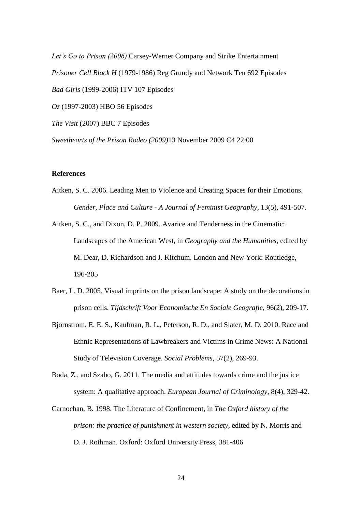*Let's Go to Prison (2006)* Carsey-Werner Company and Strike Entertainment *Prisoner Cell Block H* (1979-1986) Reg Grundy and Network Ten 692 Episodes *Bad Girls* (1999-2006) ITV 107 Episodes *Oz* (1997-2003) HBO 56 Episodes *The Visit* (2007) BBC 7 Episodes *Sweethearts of the Prison Rodeo (2009)*13 November 2009 C4 22:00

## **References**

Aitken, S. C. 2006. Leading Men to Violence and Creating Spaces for their Emotions. *Gender, Place and Culture - A Journal of Feminist Geography*, 13(5), 491-507.

Aitken, S. C., and Dixon, D. P. 2009. Avarice and Tenderness in the Cinematic: Landscapes of the American West, in *Geography and the Humanities*, edited by M. Dear, D. Richardson and J. Kitchum. London and New York: Routledge, 196-205

- Baer, L. D. 2005. Visual imprints on the prison landscape: A study on the decorations in prison cells. *Tijdschrift Voor Economische En Sociale Geografie*, 96(2), 209-17.
- Bjornstrom, E. E. S., Kaufman, R. L., Peterson, R. D., and Slater, M. D. 2010. Race and Ethnic Representations of Lawbreakers and Victims in Crime News: A National Study of Television Coverage. *Social Problems*, 57(2), 269-93.
- Boda, Z., and Szabo, G. 2011. The media and attitudes towards crime and the justice system: A qualitative approach. *European Journal of Criminology*, 8(4), 329-42.
- Carnochan, B. 1998. The Literature of Confinement, in *The Oxford history of the prison: the practice of punishment in western society*, edited by N. Morris and D. J. Rothman. Oxford: Oxford University Press, 381-406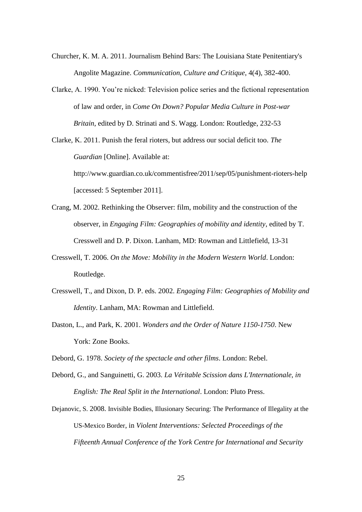- Churcher, K. M. A. 2011. Journalism Behind Bars: The Louisiana State Penitentiary's Angolite Magazine. *Communication, Culture and Critique*, 4(4), 382-400.
- Clarke, A. 1990. You're nicked: Television police series and the fictional representation of law and order, in *Come On Down? Popular Media Culture in Post-war Britain*, edited by D. Strinati and S. Wagg. London: Routledge, 232-53

Clarke, K. 2011. Punish the feral rioters, but address our social deficit too. *The Guardian* [Online]. Available at: http://www.guardian.co.uk/commentisfree/2011/sep/05/punishment-rioters-help [accessed: 5 September 2011].

- Crang, M. 2002. Rethinking the Observer: film, mobility and the construction of the observer, in *Engaging Film: Geographies of mobility and identity*, edited by T. Cresswell and D. P. Dixon. Lanham, MD: Rowman and Littlefield, 13-31
- Cresswell, T. 2006. *On the Move: Mobility in the Modern Western World*. London: Routledge.
- Cresswell, T., and Dixon, D. P. eds. 2002. *Engaging Film: Geographies of Mobility and Identity*. Lanham, MA: Rowman and Littlefield.
- Daston, L., and Park, K. 2001. *Wonders and the Order of Nature 1150-1750*. New York: Zone Books.

Debord, G. 1978. *Society of the spectacle and other films*. London: Rebel.

- Debord, G., and Sanguinetti, G. 2003. *La Véritable Scission dans L'Internationale, in English: The Real Split in the International*. London: Pluto Press.
- Dejanovic, S. 2008. Invisible Bodies, Illusionary Securing: The Performance of Illegality at the US-Mexico Border, in *Violent Interventions: Selected Proceedings of the Fifteenth Annual Conference of the York Centre for International and Security*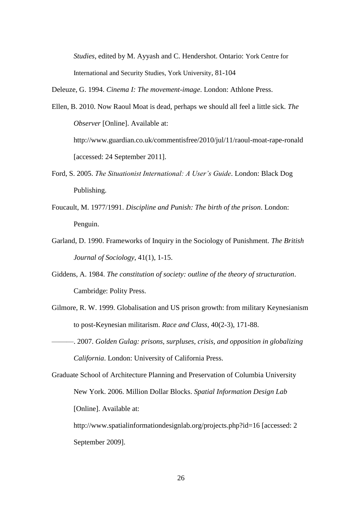*Studies*, edited by M. Ayyash and C. Hendershot. Ontario: York Centre for International and Security Studies, York University, 81-104

Deleuze, G. 1994. *Cinema I: The movement-image*. London: Athlone Press.

Ellen, B. 2010. Now Raoul Moat is dead, perhaps we should all feel a little sick. *The Observer* [Online]. Available at: http://www.guardian.co.uk/commentisfree/2010/jul/11/raoul-moat-rape-ronald [accessed: 24 September 2011].

- Ford, S. 2005. *The Situationist International: A User's Guide*. London: Black Dog Publishing.
- Foucault, M. 1977/1991. *Discipline and Punish: The birth of the prison*. London: Penguin.
- Garland, D. 1990. Frameworks of Inquiry in the Sociology of Punishment. *The British Journal of Sociology*, 41(1), 1-15.
- Giddens, A. 1984. *The constitution of society: outline of the theory of structuration*. Cambridge: Polity Press.
- Gilmore, R. W. 1999. Globalisation and US prison growth: from military Keynesianism to post-Keynesian militarism. *Race and Class*, 40(2-3), 171-88.
- ———. 2007. *Golden Gulag: prisons, surpluses, crisis, and opposition in globalizing California*. London: University of California Press.

Graduate School of Architecture Planning and Preservation of Columbia University New York. 2006. Million Dollar Blocks. *Spatial Information Design Lab*  [Online]. Available at:

http://www.spatialinformationdesignlab.org/projects.php?id=16 [accessed: 2] September 2009].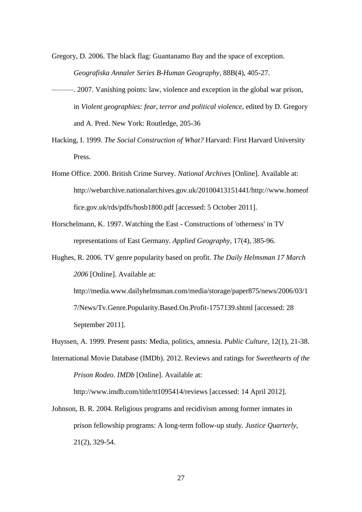- Gregory, D. 2006. The black flag: Guantanamo Bay and the space of exception. *Geografiska Annaler Series B-Human Geography*, 88B(4), 405-27.
- ———. 2007. Vanishing points: law, violence and exception in the global war prison, in *Violent geographies: fear, terror and political violence*, edited by D. Gregory and A. Pred. New York: Routledge, 205-36
- Hacking, I. 1999. *The Social Construction of What?* Harvard: First Harvard University Press.
- Home Office. 2000. British Crime Survey. *National Archives* [Online]. Available at: http://webarchive.nationalarchives.gov.uk/20100413151441/http://www.homeof fice.gov.uk/rds/pdfs/hosb1800.pdf [accessed: 5 October 2011].
- Horschelmann, K. 1997. Watching the East Constructions of 'otherness' in TV representations of East Germany. *Applied Geography*, 17(4), 385-96.
- Hughes, R. 2006. TV genre popularity based on profit. *The Daily Helmsman 17 March 2006* [Online]. Available at: http://media.www.dailyhelmsman.com/media/storage/paper875/news/2006/03/1

7/News/Tv.Genre.Popularity.Based.On.Profit-1757139.shtml [accessed: 28 September 2011].

- Huyssen, A. 1999. Present pasts: Media, politics, amnesia. *Public Culture*, 12(1), 21-38.
- International Movie Database (IMDb). 2012. Reviews and ratings for *Sweethearts of the Prison Rodeo*. *IMDb* [Online]. Available at:

http://www.imdb.com/title/tt1095414/reviews [accessed: 14 April 2012].

Johnson, B. R. 2004. Religious programs and recidivism among former inmates in prison fellowship programs: A long-term follow-up study. *Justice Quarterly*, 21(2), 329-54.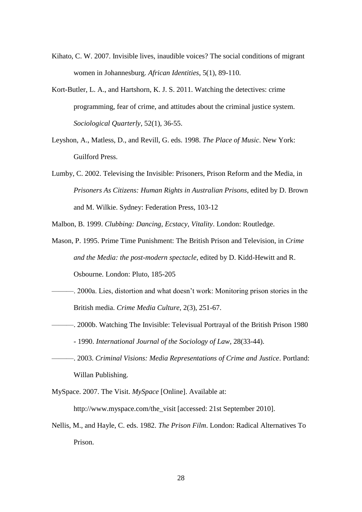- Kihato, C. W. 2007. Invisible lives, inaudible voices? The social conditions of migrant women in Johannesburg. *African Identities*, 5(1), 89-110.
- Kort-Butler, L. A., and Hartshorn, K. J. S. 2011. Watching the detectives: crime programming, fear of crime, and attitudes about the criminal justice system. *Sociological Quarterly*, 52(1), 36-55.
- Leyshon, A., Matless, D., and Revill, G. eds. 1998. *The Place of Music*. New York: Guilford Press.
- Lumby, C. 2002. Televising the Invisible: Prisoners, Prison Reform and the Media, in *Prisoners As Citizens: Human Rights in Australian Prisons*, edited by D. Brown and M. Wilkie. Sydney: Federation Press, 103-12

Malbon, B. 1999. *Clubbing: Dancing, Ecstacy, Vitality*. London: Routledge.

- Mason, P. 1995. Prime Time Punishment: The British Prison and Television, in *Crime and the Media: the post-modern spectacle*, edited by D. Kidd-Hewitt and R. Osbourne. London: Pluto, 185-205
- ———. 2000a. Lies, distortion and what doesn't work: Monitoring prison stories in the British media. *Crime Media Culture*, 2(3), 251-67.
- ———. 2000b. Watching The Invisible: Televisual Portrayal of the British Prison 1980 - 1990. *International Journal of the Sociology of Law*, 28(33-44).
- ———. 2003. *Criminal Visions: Media Representations of Crime and Justice*. Portland: Willan Publishing.
- MySpace. 2007. The Visit. *MySpace* [Online]. Available at: http://www.myspace.com/the\_visit [accessed: 21st September 2010].
- Nellis, M., and Hayle, C. eds. 1982. *The Prison Film*. London: Radical Alternatives To Prison.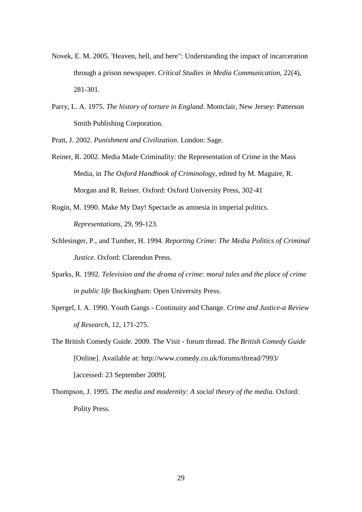- Novek, E. M. 2005. 'Heaven, hell, and here": Understanding the impact of incarceration through a prison newspaper. *Critical Studies in Media Communication*, 22(4), 281-301.
- Parry, L. A. 1975. *The history of torture in England*. Montclair, New Jersey: Patterson Smith Publishing Corporation.

Pratt, J. 2002. *Punishment and Civilization*. London: Sage.

- Reiner, R. 2002. Media Made Criminality: the Representation of Crime in the Mass Media, in *The Oxford Handbook of Criminology*, edited by M. Maguire, R. Morgan and R. Reiner. Oxford: Oxford University Press, 302-41
- Rogin, M. 1990. Make My Day! Spectacle as amnesia in imperial politics. *Representations*, 29, 99-123.
- Schlesinger, P., and Tumber, H. 1994. *Reporting Crime: The Media Politics of Criminal Justice*. Oxford: Clarendon Press.
- Sparks, R. 1992. *Television and the drama of crime: moral tales and the place of crime in public life* Buckingham: Open University Press.
- Spergel, I. A. 1990. Youth Gangs Continuity and Change. *Crime and Justice-a Review of Research*, 12, 171-275.
- The British Comedy Guide. 2009. The Visit forum thread. *The British Comedy Guide*  [Online]. Available at: http://www.comedy.co.uk/forums/thread/7993/ [accessed: 23 September 2009].
- Thompson, J. 1995. *The media and modernity: A social theory of the media*. Oxford: Polity Press.